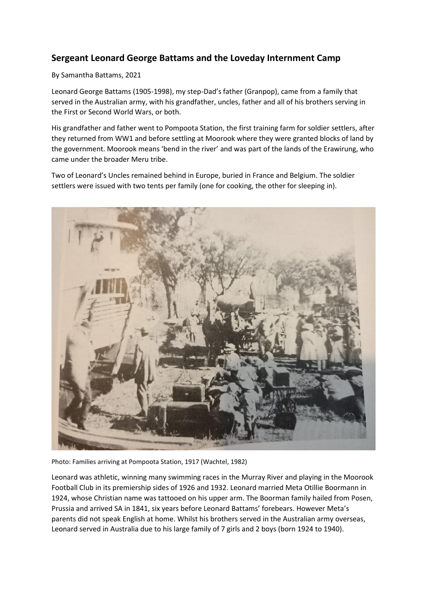## **Sergeant Leonard George Battams and the Loveday Internment Camp**

## By Samantha Battams, 2021

Leonard George Battams (1905-1998), my step-Dad's father (Granpop), came from a family that served in the Australian army, with his grandfather, uncles, father and all of his brothers serving in the First or Second World Wars, or both.

His grandfather and father went to Pompoota Station, the first training farm for soldier settlers, after they returned from WW1 and before settling at Moorook where they were granted blocks of land by the government. Moorook means 'bend in the river' and was part of the lands of the Erawirung, who came under the broader Meru tribe.

Two of Leonard's Uncles remained behind in Europe, buried in France and Belgium. The soldier settlers were issued with two tents per family (one for cooking, the other for sleeping in).



Photo: Families arriving at Pompoota Station, 1917 (Wachtel, 1982)

Leonard was athletic, winning many swimming races in the Murray River and playing in the Moorook Football Club in its premiership sides of 1926 and 1932. Leonard married Meta Otillie Boormann in 1924, whose Christian name was tattooed on his upper arm. The Boorman family hailed from Posen, Prussia and arrived SA in 1841, six years before Leonard Battams' forebears. However Meta's parents did not speak English at home. Whilst his brothers served in the Australian army overseas, Leonard served in Australia due to his large family of 7 girls and 2 boys (born 1924 to 1940).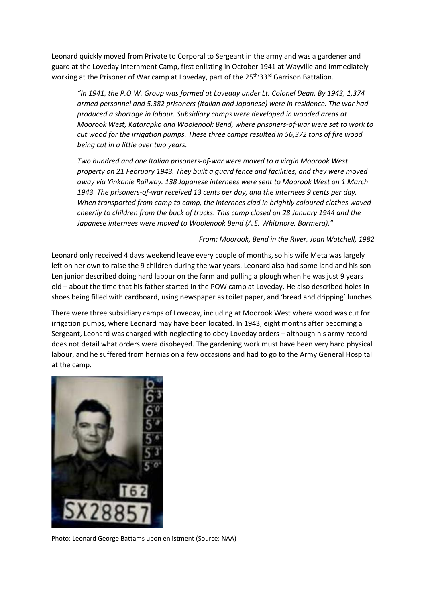Leonard quickly moved from Private to Corporal to Sergeant in the army and was a gardener and guard at the Loveday Internment Camp, first enlisting in October 1941 at Wayville and immediately working at the Prisoner of War camp at Loveday, part of the 25<sup>th/</sup>33<sup>rd</sup> Garrison Battalion.

*"In 1941, the P.O.W. Group was formed at Loveday under Lt. Colonel Dean. By 1943, 1,374 armed personnel and 5,382 prisoners (Italian and Japanese) were in residence. The war had produced a shortage in labour. Subsidiary camps were developed in wooded areas at Moorook West, Katarapko and Woolenook Bend, where prisoners-of-war were set to work to cut wood for the irrigation pumps. These three camps resulted in 56,372 tons of fire wood being cut in a little over two years.*

*Two hundred and one Italian prisoners-of-war were moved to a virgin Moorook West property on 21 February 1943. They built a guard fence and facilities, and they were moved away via Yinkanie Railway. 138 Japanese internees were sent to Moorook West on 1 March 1943. The prisoners-of-war received 13 cents per day, and the internees 9 cents per day. When transported from camp to camp, the internees clad in brightly coloured clothes waved cheerily to children from the back of trucks. This camp closed on 28 January 1944 and the Japanese internees were moved to Woolenook Bend (A.E. Whitmore, Barmera)."*

## *From: Moorook, Bend in the River, Joan Watchell, 1982*

Leonard only received 4 days weekend leave every couple of months, so his wife Meta was largely left on her own to raise the 9 children during the war years. Leonard also had some land and his son Len junior described doing hard labour on the farm and pulling a plough when he was just 9 years old – about the time that his father started in the POW camp at Loveday. He also described holes in shoes being filled with cardboard, using newspaper as toilet paper, and 'bread and dripping' lunches.

There were three subsidiary camps of Loveday, including at Moorook West where wood was cut for irrigation pumps, where Leonard may have been located. In 1943, eight months after becoming a Sergeant, Leonard was charged with neglecting to obey Loveday orders – although his army record does not detail what orders were disobeyed. The gardening work must have been very hard physical labour, and he suffered from hernias on a few occasions and had to go to the Army General Hospital at the camp.



Photo: Leonard George Battams upon enlistment (Source: NAA)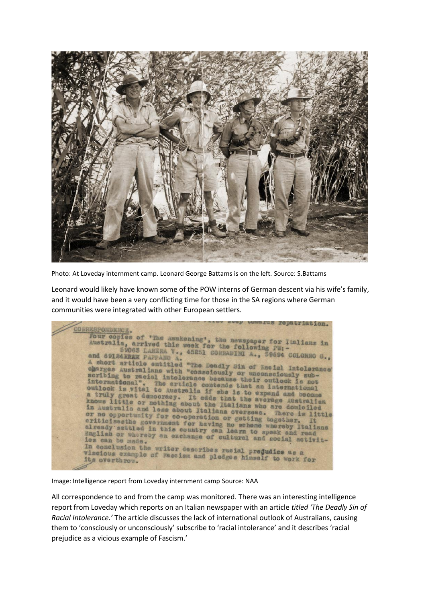

Photo: At Loveday internment camp. Leonard George Battams is on the left. Source: S.Battams

Leonard would likely have known some of the POW interns of German descent via his wife's family, and it would have been a very conflicting time for those in the SA regions where German communities were integrated with other European settlers.

|                                                                                                                                | comers tehertracyon. |
|--------------------------------------------------------------------------------------------------------------------------------|----------------------|
| CORRESPONDENCE.                                                                                                                |                      |
|                                                                                                                                |                      |
| Four copies of 'The Awakening', the newspaper for Italians in                                                                  |                      |
|                                                                                                                                |                      |
| Australia, arrived this week for the following PW:-                                                                            |                      |
|                                                                                                                                |                      |
| S906S LANERA V., 45251 CORRADINI A., 59694 COLONNO G.,<br>and 69124 WHAR PAPPANO A.                                            |                      |
| A short article entitled "The Deadly Sin of Racial Intolerance'                                                                |                      |
| charges Australians with "consciously or unconsciously sub-                                                                    |                      |
|                                                                                                                                |                      |
| scribing to racial intolerance because their outlook is not                                                                    |                      |
|                                                                                                                                |                      |
| international". The article contends that an international                                                                     |                      |
| outlook is vital to Australia if she is to expand and become                                                                   |                      |
| a truly great democracy. It edds that the average Australian                                                                   |                      |
|                                                                                                                                |                      |
| knows little or nothing about the Italians who are domiciled<br>in Australia and less about Italians overseas. There is little |                      |
|                                                                                                                                |                      |
| or no opportunity for co-operation or getting together. It                                                                     |                      |
|                                                                                                                                |                      |
| criticisesthe government for having no scheme whereby Italians                                                                 |                      |
| already settled in this country can learn to speak and read                                                                    |                      |
| English or whereby an exchange of cultural and social notivit-                                                                 |                      |
| ies can be made.                                                                                                               |                      |
| In conclusion the writer describes racial prejudice as a                                                                       |                      |
| viscious example of Fascism and pledges himself to work for                                                                    |                      |
| its overthrow.                                                                                                                 |                      |
|                                                                                                                                |                      |
|                                                                                                                                |                      |

Image: Intelligence report from Loveday internment camp Source: NAA

All correspondence to and from the camp was monitored. There was an interesting intelligence report from Loveday which reports on an Italian newspaper with an article *titled 'The Deadly Sin of Racial Intolerance.'* The article discusses the lack of international outlook of Australians, causing them to 'consciously or unconsciously' subscribe to 'racial intolerance' and it describes 'racial prejudice as a vicious example of Fascism.'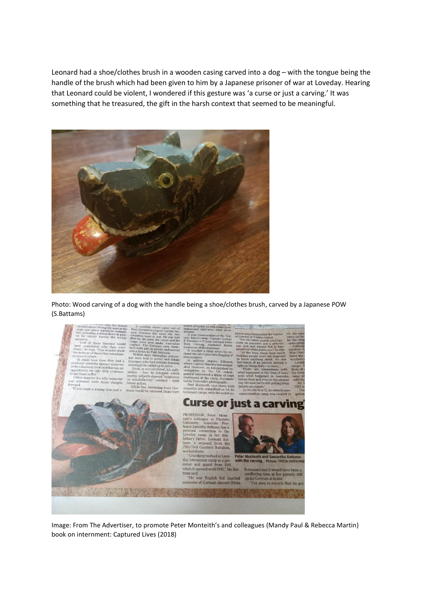Leonard had a shoe/clothes brush in a wooden casing carved into a dog – with the tongue being the handle of the brush which had been given to him by a Japanese prisoner of war at Loveday. Hearing that Leonard could be violent, I wondered if this gesture was 'a curse or just a carving.' It was something that he treasured, the gift in the harsh context that seemed to be meaningful.



Photo: Wood carving of a dog with the handle being a shoe/clothes brush, carved by a Japanese POW (S.Battams)



Image: From The Advertiser, to promote Peter Monteith's and colleagues (Mandy Paul & Rebecca Martin) book on internment: Captured Lives (2018)